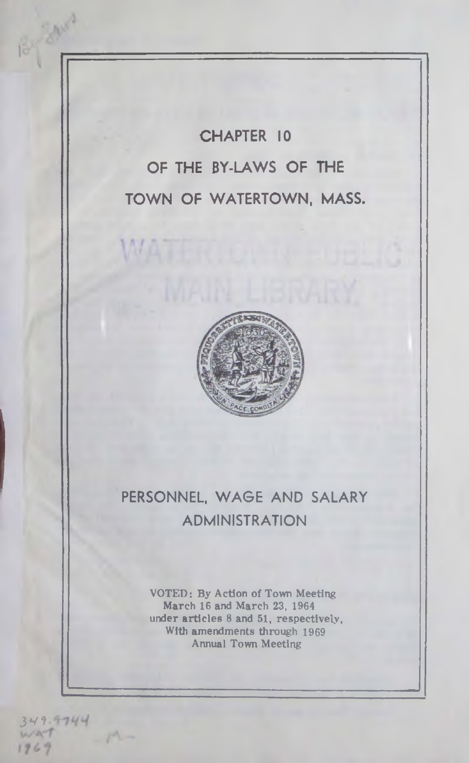**CHAPTER 10 OF THE BY-LAWS OF THE TOWN OF WATERTOWN, MASS.**



# **PERSONNEL, WAGE AND SALARY ADMINISTRATION**

VOTED: By Action of Town Meeting March 16 and March 23, 1964 under articles 8 and 51, respectively, With amendments through 1969 Annual Town Meeting

349.9744 1969

By Baux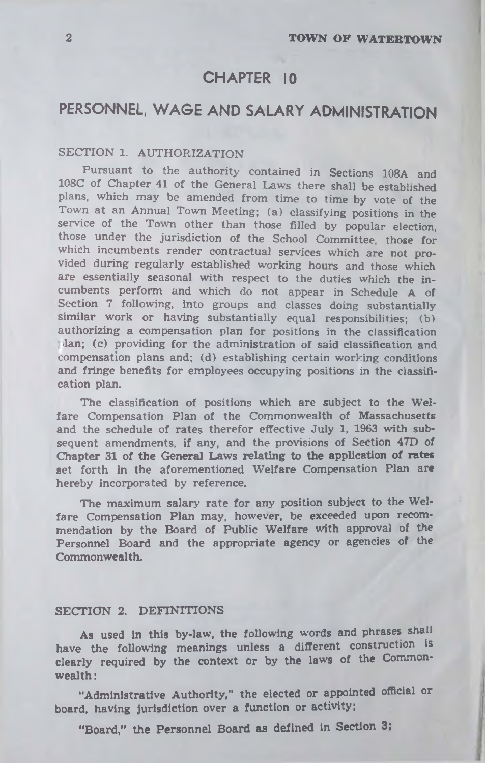## **CHAPTER 10**

# **PERSONNEL, WAGE AND SALARY ADMINISTRATION**

## **SECTION 1. AUTHORIZATION**

**Pursuant to the authority contained in Sections 108A and 108C of Chapter 41 of the General Laws there shall be established plans, which may be amended from time to time by vote of the Town at an Annual Town Meeting; (a) classifying positions in the service of the Town other than those filled by popular election, those under the jurisdiction of the School Committee, those for which incumbents render contractual services which are not provided during regularly established working hours and those which are essentially seasonal with respect to the duties which the incumbents perform and which do not appear in Schedule A of Section 7 following, into groups and classes doing substantially similar work or having substantially equal responsibilities; (b> authorizing a compensation plan for positions in the classification •Ian; (c) providing for the administration of said classification and compensation plans and; (d) establishing certain working conditions and fringe benefits for employees occupying positions in the classification plan.**

**The classification of positions which are subject to the Welfare Compensation Plan of the Commonwealth of Massachusetts and the schedule of rates therefor effective July 1, 1963 with subsequent amendments, if any, and the provisions of Section 47D of Chapter 31 of the General Laws relating to the application of rates set forth in the aforementioned Welfare Compensation Plan are hereby incorporated by reference.**

**The maximum salary rate for any position subject to the Welfare Compensation Plan may, however, be exceeded upon recommendation by the Board of Public Welfare with approval of the Personnel Board and the appropriate agency or agencies of the Commonwealth.**

## **SECTION 2. DEFINITIONS**

**As used in this by-law, the following words and phrases shall have the following meanings unless a different construction is clearly required by the context or by the laws of the Commonweed th :**

**"Administrative Authority," the elected or appointed official or board, having jurisdiction over a function or activity;**

**"Board," the Personnel Board as defined in Section 3;**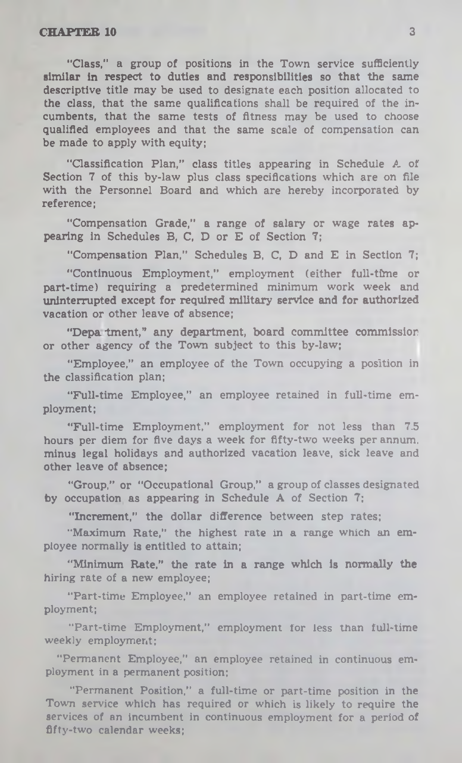"Class," a group of positions in the Town service sufficiently similar in respect to duties and responsibilities so that the same descriptive title may be used to designate each position allocated to the class, that the same qualifications shall be required of the incumbents, that the same tests of fitness may be used to choose qualified employees and that the same scale of compensation can be made to apply with equity;

"Classification Plan," class titles appearing in Schedule A of Section 7 of this by-law plus class specifications which are on file with the Personnel Board and which are hereby incorporated by reference;

"Compensation Grade," a range of salary or wage rates appearing in Schedules B, C, D or E of Section 7;

"Compensation Plan," Schedules B, C, D and E in Section 7;

"Continuous Employment," employment (either full-time or part-time) requiring a predetermined minimum work week and uninterrupted except for required military service and for authorized vacation or other leave of absence;

"Depa tment," any department, board committee commission or other agency of the Town subject to this by-law;

"Employee," an employee of the Town occupying a position in the classification plan;

"Full-time Employee," an employee retained in full-time employment;

"Full-time Employment," employment for not less than 7.5 hours per diem for five days a week for fifty-two weeks per annum, minus legal holidays and authorized vacation leave, sick leave and other leave of absence;

"Group," or "Occupational Group," a group of classes designated by occupation as appearing in Schedule A of Section 7;

"Increment," the dollar difference between step rates;

"Maximum Rate," the highest rate in a range which an employee normally is entitled to attain;

"Minimum Rate," the rate in a range which Is normally the hiring rate of a new employee;

"Part-time Employee," an employee retained in part-time employment;

"Part-time Employment," employment for less than full-time weekly employment;

"Permanent Employee," an employee retained in continuous employment in a permanent position;

"Permanent Position," a full-time or part-time position in the Town service which has required or which is likely to require the services of an incumbent in continuous employment for a period of fifty-two calendar weeks: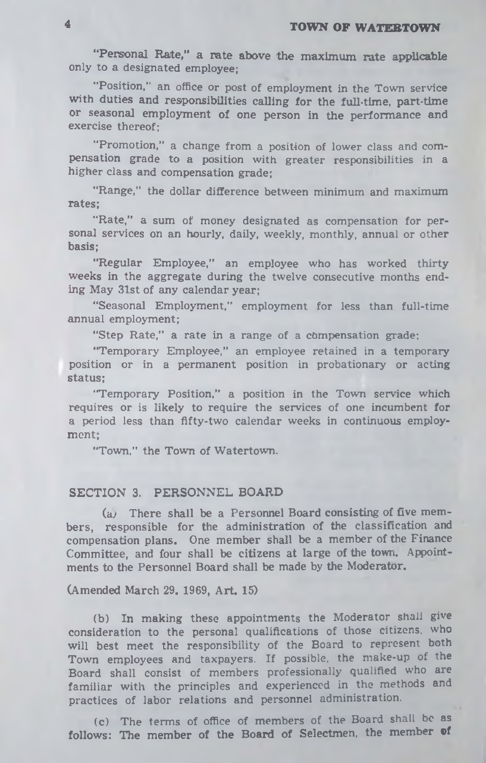"Personal Rate," a rate above the maximum rate applicable **only to a designated employee;**

**"Position,'' an office or post of employment in the Town service with duties and responsibilities calling for the full-time, part-time or seasonal employment of one person in the performance and exercise thereof;**

**"Promotion," a change from a position of lower class and compensation grade to a position with greater responsibilities in a higher class and compensation grade;**

**"Range," the dollar difference between minimum and maximum rates;**

**"Rate," a sum of money designated as compensation for personal services on an hourly, daily, weekly, monthly, annual or other basis;**

**"Regular Employee," an employee who has worked thirty weeks in the aggregate during the twelve consecutive months ending May 31st of any calendar year;**

**"Seasonal Employment," employment for less than full-time annual employment;**

**"Step Rate," a rate in a range of a compensation grade;**

**"Temporary Employee," an employee retained in a temporary position or in a permanent position in probationary or acting status;**

**"Temporary Position," a position in the Town service which requires or is likely to require the services of one incumbent for a period less than fifty-two calendar weeks in continuous employment;**

**"Town," the Town of Watertown.**

### **SECTION 3. PERSONNEL BOARD**

**(a; There shall be a Personnel Board consisting of five members, responsible for the administration of the classification and compensation plans. One member shall be a member of the Finance Committee, and four shall be citizens at large of the town. Appointments to the Personnel Board shall be made by the Moderator.**

**(Amended March 29. 1969, Art. 15)**

**(b) In making these appointments the Moderator shall give consideration to the personal qualifications of those citizens, who will best meet the responsibility of the Board to represent both Town employees and taxpayers. If possible, the make-up of the Board shall consist of members professionally qualified who are familiar with the principles and experienced in the methods and practices of labor relations and personnel administration.**

**(c) The terms of office of members of the Board shall be as follows: The member of the Board of Selectmen, the member ®f**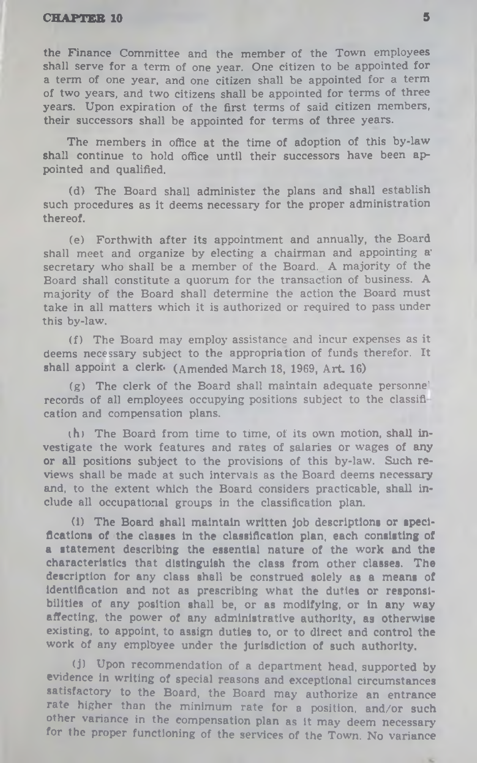the Finance Committee and the member of the Town employees shall serve for a term of one year. One citizen to be appointed for a term of one year, and one citizen shall be appointed for a term of two years, and two citizens shall be appointed for terms of three years. Upon expiration of the first terms of said citizen members, their successors shall be appointed for terms of three years.

The members in office at the time of adoption of this by-law shall continue to hold office until their successors have been appointed and qualified.

(d) The Board shall administer the plans and shall establish such procedures as it deems necessary for the proper administration thereof.

(e) Forthwith after its appointment and annually, the Board shall meet and organize by electing a chairman and appointing a' secretary who shall be a member of the Board. A majority of the Board shall constitute a quorum for the transaction of business. A majority of the Board shall determine the action the Board must take in all matters which it is authorized or required to pass under this by-law.

(f) The Board may employ assistance and incur expenses as it deems necessary subject to the appropriation of funds therefor. It shall appoint a clerk. (Amended March 18, 1969, Art. 16)

(g) The clerk of the Board shall maintain adequate personne' records of all employees occupying positions subject to the classifi cation and compensation plans.

ih) The Board from time to time, of its own motion, shall investigate the work features and rates of salaries or wages of any or all positions subject to the provisions of this by-law. Such reviews shall be made at such intervals as the Board deems necessary and, to the extent which the Board considers practicable, shall include all occupational groups in the classification plan.

(i) The Board shall maintain written Job descriptions or specifications of the classes In the classification plan, each consisting of a statement describing the essential nature of the work and the characteristics that distinguish the class from other classes. The description for any class shall be construed solely as a means of identification and not as prescribing what the duties or responsibilities of any position shall be, or as modifying, or In any way affecting, the power of any administrative authority, as otherwise existing, to appoint, to assign duties to, or to direct and control the work of any employee under the Jurisdiction of such authority.

(j) Upon recommendation of a department head, supported by evidence in writing of special reasons and exceptional circumstances satisfactory to the Board, the Board may authorize an entrance rate higher than the minimum rate for a position, and/or such other variance in the compensation plan as it may deem necessary for the proper functioning of the services of the Town. No variance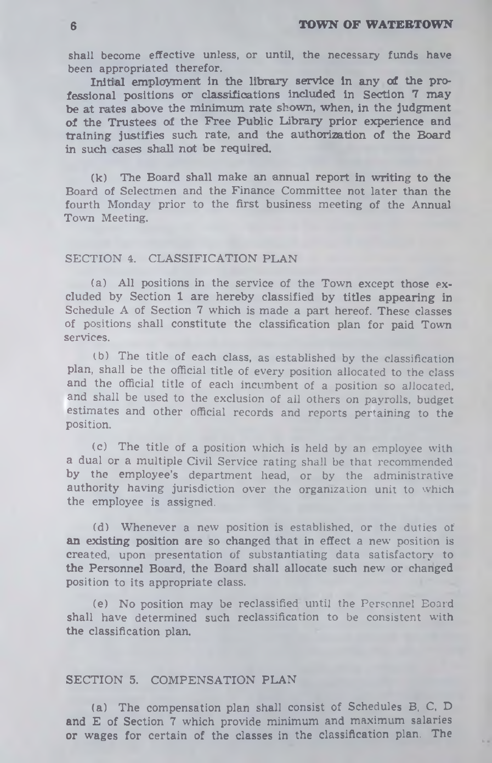**shall become effective unless, or until, the necessary funds have been appropriated therefor.**

Initial employment in the library service in any of the pro**fessional positions or classifications included in Section 7 may be at rates above the minimum rate shown, when, in the Judgment of the Trustees of the Free Public Library prior experience and training justifies such rate, and the authorization of the Board in such cases shall not be required.**

**(k) The Board shall make an annual report in writing to the** Board of Selectmen and the Finance Committee not later than the fourth Monday prior to the first business meeting of the Annual Town Meeting.

### SECTION 4. CLASSIFICATION PLAN

(a) All positions in the service of the Town except those excluded by Section **1** are hereby classified by **titles appearing in** Schedule A of Section 7 which is made a part hereof. These classes of positions shall constitute the classification plan for paid **Town** services.

(b) The title of each class, as established by the classification plan, shall be the official title of every position allocated to the class and the official title of each incumbent of a position so allocated, and shall be used to the exclusion of all others on payrolls, budget estimates and other official records and reports pertaining to the position.

(c) The title of a position which is held by an employee with a dual or a multiple Civil Service rating shall be that recommended by the employee's department head, or by the administrative authority having jurisdiction over the organization unit to which the employee is assigned.

**(d)** W henever a new position is established, or the duties of **an existing position are so changed that** in effect a new position is created, upon presentation of substantiating data satisfactory to **the Personnel Board, the Board shall allocate such new or changed** position to its appropriate class.

**(e)** No position may be reclassified until the Personnel Board shall have determined such reclassification to be consistent with **the** classification plan.

#### **SECTION 5. COMPENSATION PLAN**

**(a) The compensation plan shall consist of Schedules B, C, D and E of Section 7 which provide minimum and maximum salaries or wages for certain of the classes in the classification plan. The**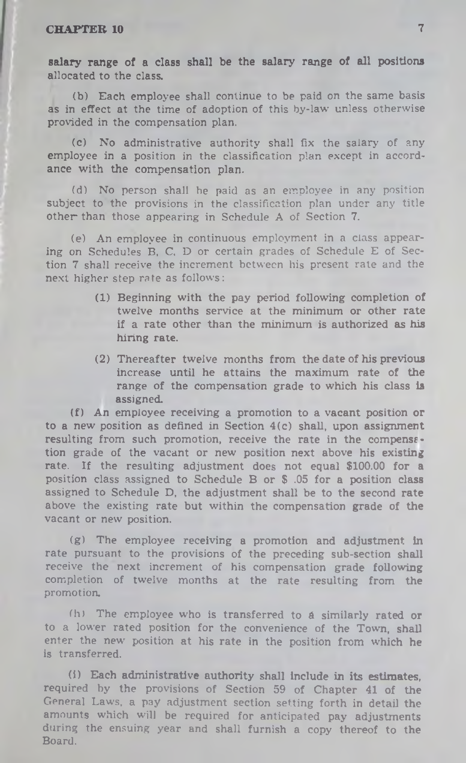salary range of a class shall be the salary range of all positions allocated to the class.

(b) Each employee shall continue to be paid on the same basis as in effect at the time of adoption of this by-law unless otherwise provided in the compensation plan.

(c) No administrative authority shall fix the salary of any employee in a position in the classification plan except in accordance with the compensation plan.

(d) No person shall he paid as an employee in any position subject to the provisions in the classification plan under any title other than those appearing in Schedule A of Section 7.

(e) An employee in continuous employment in a class appearing on Schedules B, C, D or certain grades of Schedule E of Section 7 shall receive the increment between his present rate and the next higher step rate as follows:

- (1) Beginning with the pay period following completion of twelve months service at the minimum or other rate if a rate other than the minimum is authorized as his hiring rate.
- (2) Thereafter twelve months from the date of his previous increase until he attains the maximum rate of the range of the compensation grade to which his class is assigned.

(f) An employee receiving a promotion to a vacant position or to a new position as defined in Section  $4(c)$  shall, upon assignment resulting from such promotion, receive the rate in the compensftion grade of the vacant or new position next above his existing rate. If the resulting adjustment does not equal \$100.00 for a position class assigned to Schedule B or \$ .05 for a position class assigned to Schedule D, the adjustment shall be to the second rate above the existing rate but within the compensation grade of the vacant or new position.

(g) The employee receiving a promotion and adjustment in rate pursuant to the provisions of the preceding sub-section shall receive the next increment of his compensation grade following completion of twelve months at the rate resulting from the promotion.

(h) The employee who is transferred to *A* similarly rated or to a lower rated position for the convenience of the Town, shall enter the new position at his rate in the position from which he is transferred.

(i) Each administrative authority shall include in its estimates, required by the provisions of Section 59 of Chapter 41 of the General Laws, a pay adjustment section setting forth in detail the amounts which will be required for anticipated pay adjustments during the ensuing year and shall furnish a copy thereof to the Board.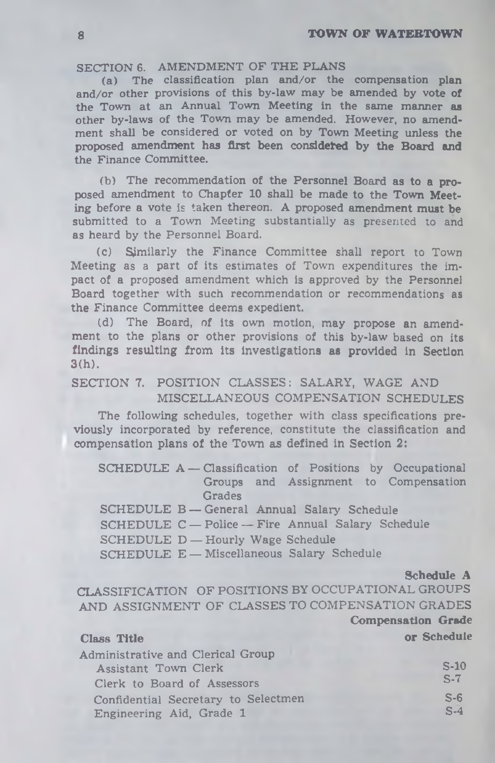#### **SECTION 6. AMENDMENT OF THE PLANS**

**(a) The classification plan and/or the compensation plan and/or other provisions of this by-law may be amended by vote of the Town at an Annual Town Meeting in the same manner as other by-laws of the Town may be amended. However, no amendment shall be considered or voted on by Town Meeting unless the proposed amendment has first been considered by the Board and the Finance Committee.**

**(b) The recommendation of the Personnel Board as to a proposed amendment to Chapter 10 shall be made to the Town Meeting before a vote is taken thereon. A proposed amendment must be submitted to a Town Meeting substantially as presented to and as heard by the Personnel Board.**

**(c) Similarly the Finance Committee shall report to Town Meeting as a part of its estimates of Town expenditures the impact of a proposed amendment which is approved by the Personnel Board together with such recommendation or recommendations as the Finance Committee deems expedient.**

**(d) The Board, of its own motion, may propose an amendment to the plans or other provisions of this by-law based on its findings resulting from its investigations as provided in Section 3(h).**

**SECTION 7. POSITION CLASSES: SALARY, WAGE AND MISCELLANEOUS COMPENSATION SCHEDULES**

**The following schedules, together with class specifications previously incorporated by reference, constitute the classification and compensation plans of the Town as defined in Section 2:**

**SCHEDULE A — Classification of Positions by Occupational Groups and Assignment to Compensation Grades SCHEDULE B — General Annual Salary Schedule**

**SCHEDULE C — Police — Fire Annual Salary Schedule**

**SCHEDULE D — Hourly Wage Schedule**

**SCHEDULE E — Miscellaneous Salary Schedule**

**Schedule A**

CLASSIFICATION OF POSITIONS BY OCCUPATIONAL GROUPS AND ASSIGNMENT OF CLASSES TO COMPENSATION GRADES **Compensation Grade**

### **Class Title or Schedule**

| Administrative and Clerical Group   |        |
|-------------------------------------|--------|
| Assistant Town Clerk                | $S-10$ |
| Clerk to Board of Assessors         | $S-7$  |
| Confidential Secretary to Selectmen | $S-6$  |
| Engineering Aid, Grade 1            | $S-4$  |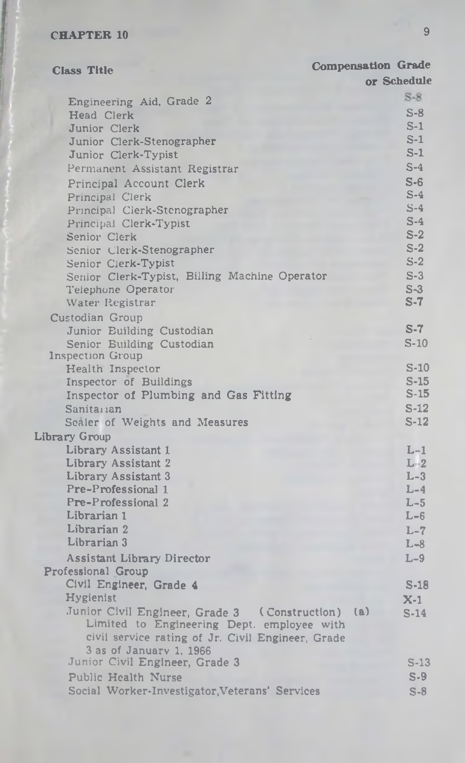| <b>Class Title</b>                                                                                                                               | <b>Compensation Grade</b> |             |
|--------------------------------------------------------------------------------------------------------------------------------------------------|---------------------------|-------------|
|                                                                                                                                                  |                           | or Schedule |
| Engineering Aid, Grade 2                                                                                                                         |                           | $S-8$       |
| Head Clerk                                                                                                                                       |                           | $S-8$       |
| Junior Clerk                                                                                                                                     |                           | $S-1$       |
| Junior Clerk-Stenographer                                                                                                                        |                           | $S-1$       |
| Junior Clerk-Typist                                                                                                                              |                           | $S-1$       |
| Permanent Assistant Registrar                                                                                                                    |                           | $S-4$       |
| Principal Account Clerk                                                                                                                          |                           | $S-6$       |
| Principal Clerk                                                                                                                                  |                           | $S-4$       |
| Principal Clerk-Stenographer                                                                                                                     |                           | $S-4$       |
| Principal Clerk-Typist                                                                                                                           |                           | $S-4$       |
| Senior Clerk                                                                                                                                     |                           | $S-2$       |
| Senior Clerk-Stenographer                                                                                                                        |                           | $S-2$       |
| Senior Clerk-Typist                                                                                                                              |                           | $S-2$       |
| Senior Clerk-Typist, Billing Machine Operator                                                                                                    |                           | $S-3$       |
| Telephone Operator                                                                                                                               |                           | $S-3$       |
| Water Registrar                                                                                                                                  |                           | $S-7$       |
| Custodian Group                                                                                                                                  |                           |             |
| Junior Building Custodian                                                                                                                        |                           | $S-7$       |
| Senior Building Custodian                                                                                                                        |                           | $S-10$      |
| Inspection Group<br>Health Inspector                                                                                                             |                           | $S-10$      |
| Inspector of Buildings                                                                                                                           |                           | $S-15$      |
| Inspector of Plumbing and Gas Fitting                                                                                                            |                           | $S-15$      |
| Sanitarian                                                                                                                                       |                           | $S-12$      |
| Sealer of Weights and Measures                                                                                                                   |                           | $S-12$      |
| Library Group                                                                                                                                    |                           |             |
| Library Assistant 1                                                                                                                              |                           | $L-1$       |
| Library Assistant 2                                                                                                                              |                           | $L-2$       |
| Library Assistant 3                                                                                                                              |                           | $L-3$       |
| Pre-Professional 1                                                                                                                               |                           | $L-4$       |
| Pre-Professional 2                                                                                                                               |                           | $L-5$       |
| Librarian 1                                                                                                                                      |                           | $L - 6$     |
| Librarian 2                                                                                                                                      |                           | $L-7$       |
| Librarian 3                                                                                                                                      |                           | $L-8$       |
| Assistant Library Director                                                                                                                       |                           | $L-9$       |
| Professional Group                                                                                                                               |                           |             |
| Civil Engineer, Grade 4                                                                                                                          |                           | $S-18$      |
| Hygienist                                                                                                                                        |                           | $X-1$       |
| Junior Civil Engineer, Grade 3 (Construction)<br>Limited to Engineering Dept. employee with<br>civil service rating of Jr. Civil Engineer, Grade | (a)                       | $S-14$      |
| 3 as of January 1, 1966                                                                                                                          |                           |             |
| Junior Civil Engineer, Grade 3                                                                                                                   |                           | $S-13$      |
| Public Health Nurse                                                                                                                              |                           | $S-9$       |
| Social Worker-Investigator, Veterans' Services                                                                                                   |                           | $S-8$       |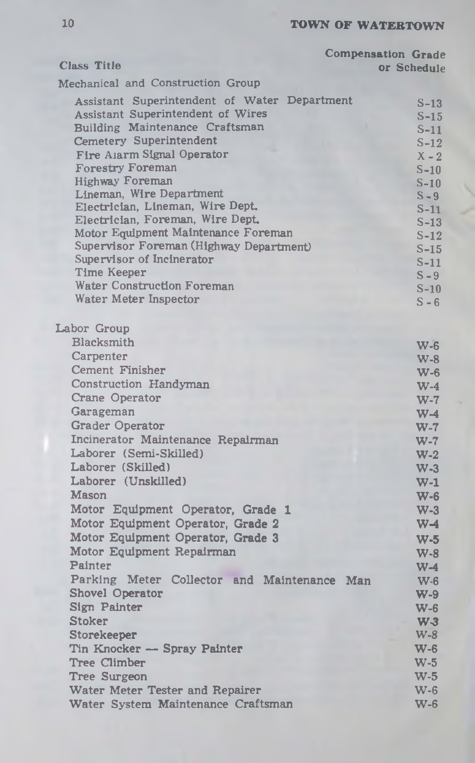| <b>Class Title</b>                           | <b>Compensation Grade</b><br>or Schedule |
|----------------------------------------------|------------------------------------------|
|                                              |                                          |
| Mechanical and Construction Group            |                                          |
| Assistant Superintendent of Water Department | $S-13$                                   |
| Assistant Superintendent of Wires            | $S-15$                                   |
| Building Maintenance Craftsman               | $S-11$                                   |
| <b>Cemetery Superintendent</b>               | $S-12$                                   |
| Fire Alarm Signal Operator                   | $X - 2$                                  |
| <b>Forestry Foreman</b>                      | $S-10$                                   |
| Highway Foreman                              | $S-10$                                   |
| Lineman, Wire Department                     | $S - 9$                                  |
| Electrician, Lineman, Wire Dept.             | $S-11$                                   |
| Electrician, Foreman, Wire Dept.             | $S-13$                                   |
| Motor Equipment Maintenance Foreman          | $S-12$                                   |
| Supervisor Foreman (Highway Department)      | $S-15$                                   |
| Supervisor of Incinerator                    | $S-11$                                   |
| Time Keeper<br>Water Construction Foreman    | $S - 9$                                  |
| Water Meter Inspector                        | $S-10$                                   |
|                                              | $S - 6$                                  |
| Labor Group                                  |                                          |
| Blacksmith                                   |                                          |
| Carpenter                                    | $W-6$                                    |
| Cement Finisher                              | $W-8$                                    |
| Construction Handyman                        | $W-6$                                    |
|                                              | $W-4$                                    |
| Crane Operator                               | $W-7$                                    |
| Garageman                                    | $W-4$                                    |
| Grader Operator                              | $W-7$                                    |
| Incinerator Maintenance Repairman            | $W-7$                                    |
| Laborer (Semi-Skilled)                       | $W-2$                                    |
| Laborer (Skilled)                            | $W-3$                                    |
| Laborer (Unskilled)                          | $W-1$                                    |
| <b>Mason</b>                                 | $W-6$                                    |
| Motor Equipment Operator, Grade 1            | $W-3$                                    |
| Motor Equipment Operator, Grade 2            | $W-4$                                    |
| Motor Equipment Operator, Grade 3            | $W-5$                                    |
| Motor Equipment Repairman                    | $W-8$                                    |
| Painter                                      | $W-4$                                    |
| Parking Meter Collector and Maintenance      | Man<br>$W-6$                             |
| Shovel Operator                              | $W-9$                                    |
| Sign Painter                                 | $W-6$                                    |
| <b>Stoker</b>                                | $W-3$                                    |
| Storekeeper                                  | $W-8$                                    |
| Tin Knocker - Spray Painter                  | $W-6$                                    |
| <b>Tree Climber</b>                          | $W-5$                                    |
| Tree Surgeon                                 | $W-5$                                    |
| Water Meter Tester and Repairer              | $W-6$                                    |
| Water System Maintenance Craftsman           | $W-6$                                    |
|                                              |                                          |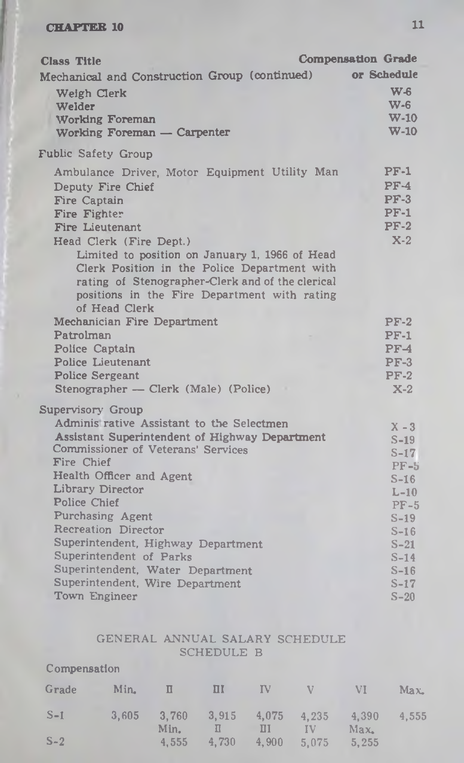| or Schedule<br>Mechanical and Construction Group (continued)<br>$W_{\text{c}}$<br>Weigh Clerk<br>W-6<br>Welder<br><b>W-10</b><br>Working Foreman<br>$W-10$<br>Working Foreman - Carpenter<br><b>Fublic Safety Group</b><br>$PF-1$<br>Ambulance Driver, Motor Equipment Utility Man<br>$PF-4$<br>Deputy Fire Chief<br>$PF-3$<br>Fire Captain<br>$PF-1$<br>Fire Fighter<br>$PF-2$<br>Fire Lieutenant<br>$X-2$<br>Head Clerk (Fire Dept.)<br>Limited to position on January 1, 1966 of Head<br>Clerk Position in the Police Department with<br>rating of Stenographer-Clerk and of the clerical<br>positions in the Fire Department with rating<br>of Head Clerk<br>Mechanician Fire Department<br>$PF-2$<br>Patrolman<br>$PF-1$<br>Police Captain<br>$PF-4$<br>Police Lieutenant<br>$PF-3$<br><b>Police Sergeant</b><br>$PF-2$<br>Stenographer - Clerk (Male) (Police)<br>$X-2$<br>Supervisory Group<br>Adminis rative Assistant to the Selectmen<br>$X - 3$<br>Assistant Superintendent of Highway Department<br>$S-19$<br>Commissioner of Veterans' Services<br>$S-17$<br>Fire Chief<br>$PF-5$ |
|------------------------------------------------------------------------------------------------------------------------------------------------------------------------------------------------------------------------------------------------------------------------------------------------------------------------------------------------------------------------------------------------------------------------------------------------------------------------------------------------------------------------------------------------------------------------------------------------------------------------------------------------------------------------------------------------------------------------------------------------------------------------------------------------------------------------------------------------------------------------------------------------------------------------------------------------------------------------------------------------------------------------------------------------------------------------------------------------|
|                                                                                                                                                                                                                                                                                                                                                                                                                                                                                                                                                                                                                                                                                                                                                                                                                                                                                                                                                                                                                                                                                                |
|                                                                                                                                                                                                                                                                                                                                                                                                                                                                                                                                                                                                                                                                                                                                                                                                                                                                                                                                                                                                                                                                                                |
|                                                                                                                                                                                                                                                                                                                                                                                                                                                                                                                                                                                                                                                                                                                                                                                                                                                                                                                                                                                                                                                                                                |
|                                                                                                                                                                                                                                                                                                                                                                                                                                                                                                                                                                                                                                                                                                                                                                                                                                                                                                                                                                                                                                                                                                |
|                                                                                                                                                                                                                                                                                                                                                                                                                                                                                                                                                                                                                                                                                                                                                                                                                                                                                                                                                                                                                                                                                                |
|                                                                                                                                                                                                                                                                                                                                                                                                                                                                                                                                                                                                                                                                                                                                                                                                                                                                                                                                                                                                                                                                                                |
|                                                                                                                                                                                                                                                                                                                                                                                                                                                                                                                                                                                                                                                                                                                                                                                                                                                                                                                                                                                                                                                                                                |
|                                                                                                                                                                                                                                                                                                                                                                                                                                                                                                                                                                                                                                                                                                                                                                                                                                                                                                                                                                                                                                                                                                |
|                                                                                                                                                                                                                                                                                                                                                                                                                                                                                                                                                                                                                                                                                                                                                                                                                                                                                                                                                                                                                                                                                                |
|                                                                                                                                                                                                                                                                                                                                                                                                                                                                                                                                                                                                                                                                                                                                                                                                                                                                                                                                                                                                                                                                                                |
|                                                                                                                                                                                                                                                                                                                                                                                                                                                                                                                                                                                                                                                                                                                                                                                                                                                                                                                                                                                                                                                                                                |
|                                                                                                                                                                                                                                                                                                                                                                                                                                                                                                                                                                                                                                                                                                                                                                                                                                                                                                                                                                                                                                                                                                |
|                                                                                                                                                                                                                                                                                                                                                                                                                                                                                                                                                                                                                                                                                                                                                                                                                                                                                                                                                                                                                                                                                                |
|                                                                                                                                                                                                                                                                                                                                                                                                                                                                                                                                                                                                                                                                                                                                                                                                                                                                                                                                                                                                                                                                                                |
|                                                                                                                                                                                                                                                                                                                                                                                                                                                                                                                                                                                                                                                                                                                                                                                                                                                                                                                                                                                                                                                                                                |
|                                                                                                                                                                                                                                                                                                                                                                                                                                                                                                                                                                                                                                                                                                                                                                                                                                                                                                                                                                                                                                                                                                |
|                                                                                                                                                                                                                                                                                                                                                                                                                                                                                                                                                                                                                                                                                                                                                                                                                                                                                                                                                                                                                                                                                                |
|                                                                                                                                                                                                                                                                                                                                                                                                                                                                                                                                                                                                                                                                                                                                                                                                                                                                                                                                                                                                                                                                                                |
|                                                                                                                                                                                                                                                                                                                                                                                                                                                                                                                                                                                                                                                                                                                                                                                                                                                                                                                                                                                                                                                                                                |
|                                                                                                                                                                                                                                                                                                                                                                                                                                                                                                                                                                                                                                                                                                                                                                                                                                                                                                                                                                                                                                                                                                |
|                                                                                                                                                                                                                                                                                                                                                                                                                                                                                                                                                                                                                                                                                                                                                                                                                                                                                                                                                                                                                                                                                                |
|                                                                                                                                                                                                                                                                                                                                                                                                                                                                                                                                                                                                                                                                                                                                                                                                                                                                                                                                                                                                                                                                                                |
|                                                                                                                                                                                                                                                                                                                                                                                                                                                                                                                                                                                                                                                                                                                                                                                                                                                                                                                                                                                                                                                                                                |
|                                                                                                                                                                                                                                                                                                                                                                                                                                                                                                                                                                                                                                                                                                                                                                                                                                                                                                                                                                                                                                                                                                |
| Health Officer and Agent<br>$S-16$                                                                                                                                                                                                                                                                                                                                                                                                                                                                                                                                                                                                                                                                                                                                                                                                                                                                                                                                                                                                                                                             |
| Library Director<br>$L-10$<br>Police Chief                                                                                                                                                                                                                                                                                                                                                                                                                                                                                                                                                                                                                                                                                                                                                                                                                                                                                                                                                                                                                                                     |
| $PF-5$<br>Purchasing Agent                                                                                                                                                                                                                                                                                                                                                                                                                                                                                                                                                                                                                                                                                                                                                                                                                                                                                                                                                                                                                                                                     |
| $S-19$<br>Recreation Director                                                                                                                                                                                                                                                                                                                                                                                                                                                                                                                                                                                                                                                                                                                                                                                                                                                                                                                                                                                                                                                                  |
| $S-16$<br>Superintendent, Highway Department                                                                                                                                                                                                                                                                                                                                                                                                                                                                                                                                                                                                                                                                                                                                                                                                                                                                                                                                                                                                                                                   |
| $S-21$<br>Superintendent of Parks<br>$S-14$                                                                                                                                                                                                                                                                                                                                                                                                                                                                                                                                                                                                                                                                                                                                                                                                                                                                                                                                                                                                                                                    |
| Superintendent, Water Department<br>$S-16$                                                                                                                                                                                                                                                                                                                                                                                                                                                                                                                                                                                                                                                                                                                                                                                                                                                                                                                                                                                                                                                     |
| Superintendent, Wire Department<br>$S-17$                                                                                                                                                                                                                                                                                                                                                                                                                                                                                                                                                                                                                                                                                                                                                                                                                                                                                                                                                                                                                                                      |
| Town Engineer<br>$S-20$                                                                                                                                                                                                                                                                                                                                                                                                                                                                                                                                                                                                                                                                                                                                                                                                                                                                                                                                                                                                                                                                        |

### GENERAL ANNUAL SALARY SCHEDULE SCHEDULE B

## Compensation

| Grade | Min.  |               | Ш          | IV         | V.          | VI            | Max   |
|-------|-------|---------------|------------|------------|-------------|---------------|-------|
| $S-1$ | 3.605 | 3.760<br>Min. | 3,915<br>П | 4,075<br>Π | 4.235<br>IV | 4.390<br>Max. | 4,555 |
| $S-2$ |       | 4.555         | 4,730      | 4,900      | 5.075       | 5,255         |       |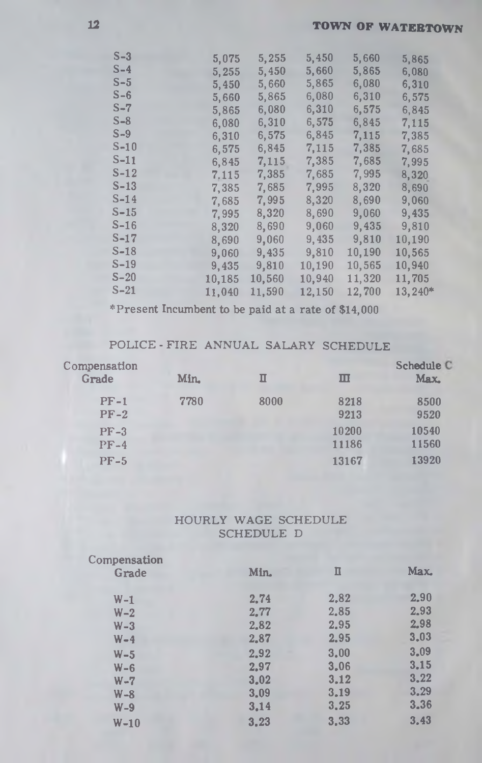| $S-3$  | 5,075  | 5,255  | 5,450  | 5,660  | 5,865   |
|--------|--------|--------|--------|--------|---------|
| $S-4$  | 5,255  | 5,450  | 5,660  | 5,865  | 6,080   |
| $S-5$  | 5,450  | 5,660  | 5,865  | 6,080  | 6,310   |
| $S-6$  | 5,660  | 5,865  | 6,080  | 6,310  | 6,575   |
| S-7    | 5,865  | 6,080  | 6,310  | 6,575  | 6,845   |
| $S-8$  | 6,080  | 6,310  | 6,575  | 6,845  | 7,115   |
| $S-9$  | 6,310  | 6,575  | 6,845  | 7,115  | 7,385   |
| S-10   | 6,575  | 6,845  | 7,115  | 7,385  | 7,685   |
| S-11   | 6,845  | 7,115  | 7,385  | 7,685  | 7,995   |
| $S-12$ | 7.115  | 7,385  | 7,685  | 7,995  | 8,320   |
| $S-13$ | 7,385  | 7,685  | 7,995  | 8,320  | 8,690   |
| $S-14$ | 7,685  | 7,995  | 8,320  | 8,690  | 9,060   |
| $S-15$ | 7,995  | 8,320  | 8,690  | 9,060  | 9,435   |
| $S-16$ | 8,320  | 8,690  | 9,060  | 9,435  | 9,810   |
| S-17   | 8,690  | 9,060  | 9,435  | 9,810  | 10,190  |
| $S-18$ | 9,060  | 9,435  | 9,810  | 10,190 | 10,565  |
| $S-19$ | 9,435  | 9,810  | 10,190 | 10,565 | 10,940  |
| $S-20$ | 10,185 | 10,560 | 10,940 | 11,320 | 11,705  |
| $S-21$ | 11,040 | 11,590 | 12,150 | 12,700 | 13,240* |
|        |        |        |        |        |         |

**^Present Incumbent to be paid at a rate of \$14,000**

# **POLICE-FIRE ANNUAL SALARY SCHEDULE**

| Compensation<br>Grade | Min. | П    | Ш              | Schedule C<br>Max. |
|-----------------------|------|------|----------------|--------------------|
| $PF-1$<br>$PF-2$      | 7780 | 8000 | 8218<br>9213   | 8500<br>9520       |
| $PF-3$<br>$PF-4$      |      |      | 10200<br>11186 | 10540<br>11560     |
| $PF-5$                |      |      | 13167          | 13920              |

## **HOURLY WAGE SCHEDULE SCHEDULE D**

| Compensation |      |      |      |
|--------------|------|------|------|
| Grade        | Min. | п    | Max. |
| $W-1$        | 2.74 | 2.82 | 2,90 |
| $W - 2$      | 2,77 | 2.85 | 2.93 |
| $W - 3$      | 2.82 | 2.95 | 2,98 |
| $W - 4$      | 2,87 | 2.95 | 3,03 |
| $W-5$        | 2.92 | 3,00 | 3.09 |
| $W - 6$      | 2.97 | 3.06 | 3.15 |
| $W - 7$      | 3,02 | 3.12 | 3,22 |
| $W - 8$      | 3.09 | 3.19 | 3.29 |
| $W - 9$      | 3.14 | 3,25 | 3.36 |
| $W-10$       | 3,23 | 3,33 | 3.43 |
|              |      |      |      |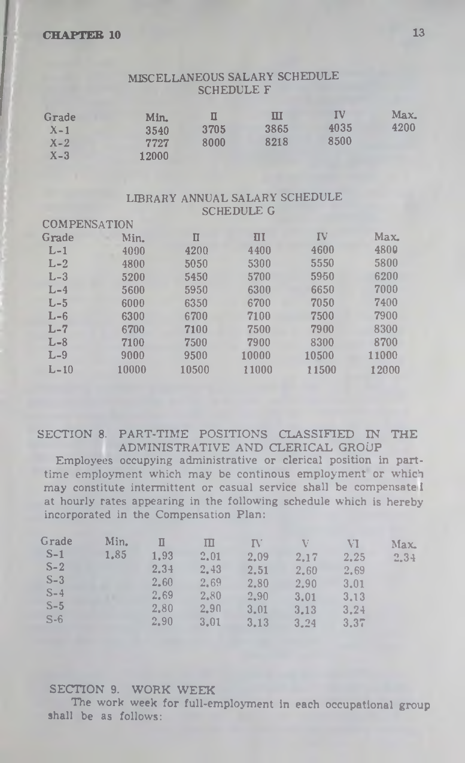#### MISCELLANEOUS SALARY SCHEDULE SCHEDULE F

| Grade   | Min.  |      | ш    | IV   | Max. |
|---------|-------|------|------|------|------|
| $X-1$   | 3540  | 3705 | 3865 | 4035 | 4200 |
| $X - 2$ | 7727  | 8000 | 8218 | 8500 |      |
| $X-3$   | 12000 |      |      |      |      |

#### LIBRARY ANNUAL SALARY SCHEDULE SCHEDULE G

| <b>COMPENSATION</b> |       |       |               |       |       |
|---------------------|-------|-------|---------------|-------|-------|
| Grade               | Min.  | П     | $\mathbf{II}$ | IV    | Max   |
| $L-1$               | 4000  | 4200  | 4400          | 4600  | 4800  |
| $L-2$               | 4800  | 5050  | 5300          | 5550  | 5800  |
| $L-3$               | 5200  | 5450  | 5700          | 5950  | 6200  |
| $L-4$               | 5600  | 5950  | 6300          | 6650  | 7000  |
| $L-5$               | 6000  | 6350  | 6700          | 7050  | 7400  |
| $L - 6$             | 6300  | 6700  | 7100          | 7500  | 7900  |
| L-7                 | 6700  | 7100  | 7500          | 7900  | 8300  |
| $L-8$               | 7100  | 7500  | 7900          | 8300  | 8700  |
| $L-9$               | 9000  | 9500  | 10000         | 10500 | 11000 |
| $L - 10$            | 10000 | 10500 | 11000         | 11500 | 12000 |
|                     |       |       |               |       |       |

#### SECTION 8. PART-TIME POSITIONS CLASSIFIED IN THE ADMINISTRATIVE AND CLERICAL GROUP

Employees occupying administrative or clerical position in parttime employment which may be continous employment or which may constitute intermittent or casual service shall be compensate 1 at hourly rates appearing in the following schedule which is hereby incorporated in the Compensation Plan:

| Grade | Min. |      | Ш    | IV   | V    | VI.  | Max. |
|-------|------|------|------|------|------|------|------|
| $S-1$ | 1.85 | 1.93 | 2.01 | 2.09 | 2.17 | 2.25 | 2.34 |
| $S-2$ |      | 2.34 | 2.43 | 2.51 | 2.60 | 2.69 |      |
| $S-3$ |      | 2.60 | 2.69 | 2.80 | 2.90 | 3.01 |      |
| $S-4$ |      | 2.69 | 2.80 | 2.90 | 3.01 | 3.13 |      |
| $S-5$ |      | 2.80 | 2.90 | 3.01 | 3.13 | 3.24 |      |
| $S-6$ |      | 2.90 | 3.01 | 3.13 | 3.24 | 3.37 |      |

#### **SECTION 9. WORK WEEK**

The work week for full-employment in each occupational group shall be as follows: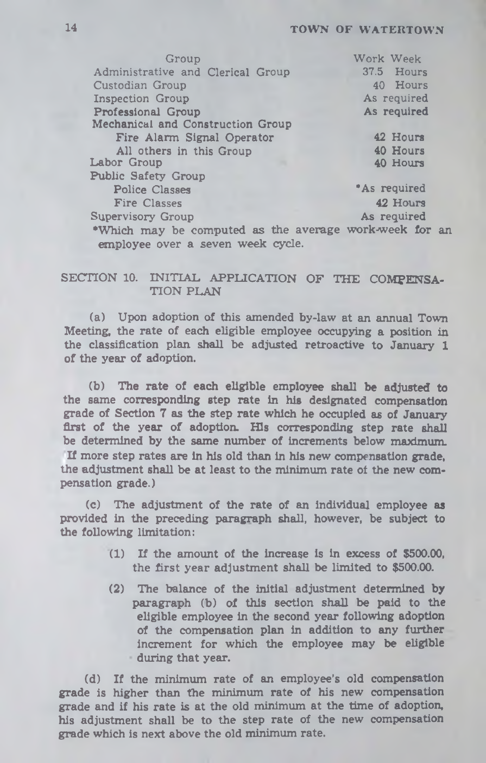## **14 TOWN OF WATERTOWN**

| Work Week                                              |
|--------------------------------------------------------|
| 37.5 Hours                                             |
| 40 Hours                                               |
| As required                                            |
| As required                                            |
|                                                        |
| 42 Hours                                               |
| 40 Hours                                               |
| 40 Hours                                               |
|                                                        |
| <b>As required</b>                                     |
| 42 Hours                                               |
| As required                                            |
| .Which may be computed as the average work-week for an |
|                                                        |

## SECTION 10. INITIAL APPLICATION OF THE COMPENSA-**TION PLAN**

**(a) Upon adoption of this amended by-law at an annual Town Meeting, the rate of each eligible employee occupying a position in the classification plan shall be adjusted retroactive to January 1 of the year of adoption.**

**(b) The rate of each eligible employee shall be adjusted to the same corresponding step rate in his designated compensation grade of Section 7 as the step rate which he occupied as of January first of the year of adoption. His corresponding step rate shall be determined by the same number of increments below maximum. If more step rates are in his old than in his new compensation grade, the adjustment shall be at least to the minimum rate of the new compensation grade.)**

**(c) The adjustment of the rate of an individual employee as provided in the preceding paragraph shall, however, be subject to the following limitation:**

- **(1) If the amount of the increase is in excess of \$500.00, the first year adjustment shall be limited to \$500.00.**
- **(2) The balance of the initial adjustment determined by paragraph (b) of this section shall be paid to the eligible employee in the second year following adoption of the compensation plan in addition to any further increment for which the employee may be eligible during that year.**

**(d) If the minimum rate of an employee's old compensation grade is higher than the minimum rate of his new compensation grade and if his rate is at the old minimum at the time of adoption, his adjustment shall be to the step rate of the new compensation grade which is next above the old minimum rate.**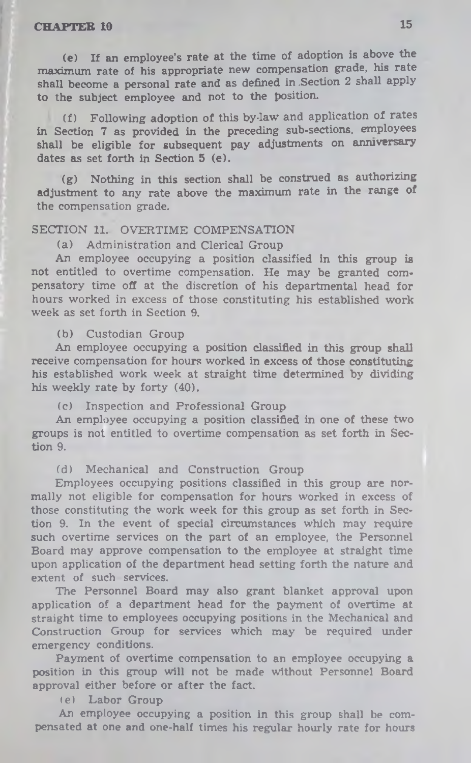(e) If an employee's rate at the time of adoption is above the maximum rate of his appropriate new compensation grade, his rate shall become a personal rate and as defined in .Section 2 shall apply to the subject employee and not to the position.

(f) Following adoption of this by-law and application of rates in Section 7 as provided in the preceding sub-sections, employees shall be eligible for subsequent pay adjustments on anniversary dates as set forth in Section 5 (e).

(g) Nothing in this section shall be construed as authorizing adjustment to any rate above the maximum rate in the range of the compensation grade.

#### SECTION 11. OVERTIME COMPENSATION

(a) Administration and Clerical Group

An employee occupying a position classified in this group is not entitled to overtime compensation. He may be granted compensatory time off at the discretion of his departmental head for hours worked in excess of those constituting his established work week as set forth in Section 9.

(b) Custodian Group

An employee occupying a position classified in this group shall receive compensation for hours worked in excess of those constituting his established work week at straight time determined by dividing his weekly rate by forty (40).

(c) Inspection and Professional Group

An employee occupying a position classified in one of these two groups is not entitled to overtime compensation as set forth in Section 9.

(d) Mechanical and Construction Group

Employees occupying positions classified in this group are normally not eligible for compensation for hours worked in excess of those constituting the work week for this group as set forth in Section 9. In the event of special circumstances which may require such overtime services on the part of an employee, the Personnel Board may approve compensation to the employee at straight time upon application of the department head setting forth the nature and extent of such services.

The Personnel Board may also grant blanket approval upon application of a department head for the payment of overtime at straight time to employees occupying positions in the Mechanical and Construction Group for services which may be required under emergency conditions.

Payment of overtime compensation to an employee occupying & position in this group will not be made without Personnel Board approval either before or after the fact.

(e) Labor Group

An employee occupying a position in this group shall be compensated at one and one-half times his regular hourly rate for hours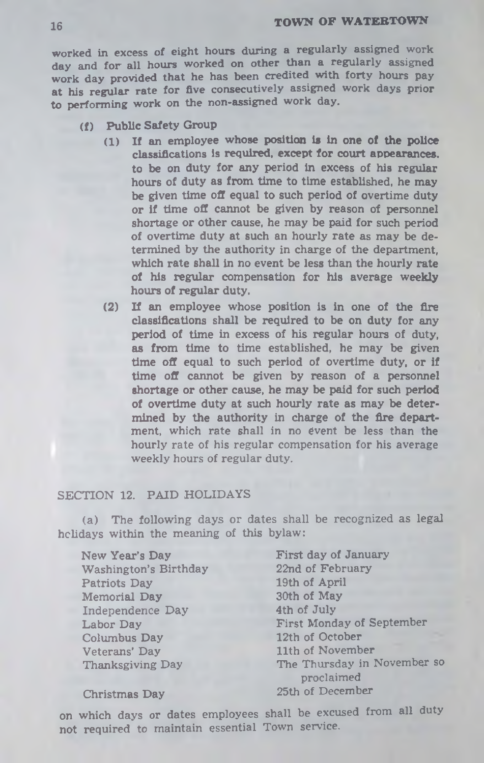**worked in excess of eight hours during a regularly assigned work day and for all hours worked on other than a regularly assigned work day provided that he has been credited with forty hours pay at his regular rate for five consecutively assigned work days prior to performing work on the non-assigned work day.**

- **(f) Public Safety Group**
	- **(1) If an employee whose position is in one of the police classifications is required, except for court appearances, to be on duty for any period in excess of his regular hours of duty as from time to time established, he may be given time off equal to such period of overtime duty or if time off cannot be given by reason of personnel shortage or other cause, he may be paid for such period of overtime duty at such an hourly rate as may be determined by the authority in charge of the department, which rate shall in no event be less than the hourly rate of his regular compensation for his average weekly hours of regular duty.**
	- **(2) If an employee whose position is in one of the fire classifications shall be required to be on duty for any period of time in excess of his regular hours of duty, as from time to time established, he may be given time off equal to such period of overtime duty, or if time off cannot be given by reason of a personnel shortage or other cause, he may be paid for such period of overtime duty at such hourly rate as may be determined by the authority in charge of the fire department, which rate shall in no event be less than the hourly rate of his regular compensation for his average weekly hours of regular duty.**

#### **SECTION 12. PAID HOLIDAYS**

**The following days or dates shall be recognized as legal (a) the meaning of this bylaw: holidays within**

**New Year's Day Washington's Birthday Patriots Day Memorial Day Independence Day Labor Day Columbus Day Veterans' Day Thanksgiving Day**

**First day of January 22nd of February 19th of April 30th of May 4th of July First Monday of September 12th of October 11th of November The Thursday in November so proclaimed 25th of December**

**Christmas Day**

**on which days or dates employees shall be excused from all duty not required to maintain essential Town service.**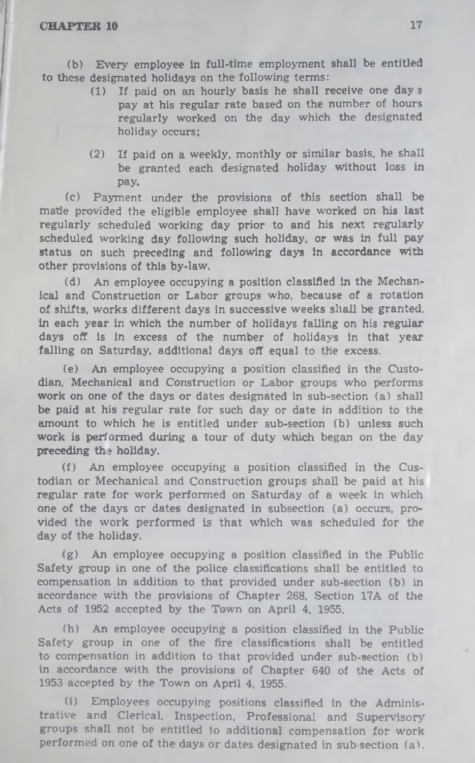(b) Every employee in full-time employment shall be entitled to these designated holidays on the following terms:

- (1) If paid on an hourly basis he shall receive one day s pay at his regular rate based on the number of hours regularly worked on the day which the designated holiday occurs;
- (2) If paid on a weekly, monthly or similar basis, he shall be granted each designated holiday without loss in pay.

(c) Payment under the provisions of this section shall be made provided the eligible employee shall have worked on his last regularly scheduled working day prior to and his next regularly scheduled working day following such holiday, or was in full pay status on such preceding and following days in accordance with other provisions of this by-law.

(d) An employee occupying a position classified in the Mechanical and Construction or Labor groups who, because of a rotation of shifts, works different days in successive weeks shall be granted, in each year in which the number of holidays falling on his regular days off Is in excess of the number of holidays in that year falling on Saturday, additional days off equal to the excess.

(e) An employee occupying a position classified in the Custodian, Mechanical and Construction or Labor groups who performs work on one of the days or dates designated in sub-section (a) shall be paid at his regular rate for such day or date in addition to the amount to which he is entitled under sub-section (b) unless such work is performed during a tour of duty which began on the day preceding the holiday.

(f) An employee occupying a position classified in the Custodian or Mechanical and Construction groups shall be paid at his regular rate for work performed on Saturday of a week in which one of the days or dates designated in subsection (a) occurs, provided the work performed is that which was scheduled for the day of the holiday.

(g) An employee occupying a position classified in the Public Safety group in one of the police classifications shall be entitled to compensation in addition to that provided under sub-section (b) in accordance with the provisions of Chapter 268, Section I7A of the Acts of 1952 accepted by the Town on April 4, 1955.

(h) An employee occupying a position classified in the Public Safety group in one of the fire classifications shall be entitled to compensation in addition to that provided under sub-section (b) in accordance with the provisions of Chapter 640 of the Acts of 1953 accepted by the Town on April 4, 1955.

(i) Employees occupying positions classified in the Administrative and Clerical. Inspection, Professional and Supervisory groups shall not be entitled to additional compensation for work performed on one of the days or dates designated in sub-section (a).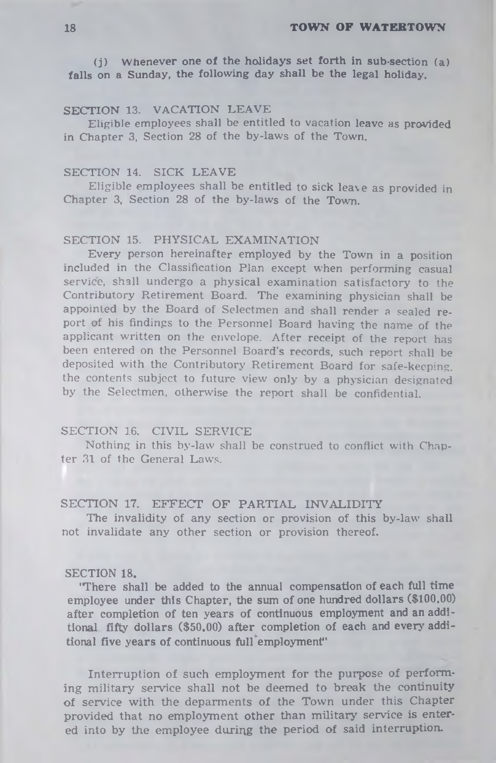(j) W henever one of the holidays set forth in sub-section (a) falls on a Sunday, the following day shall be the legal holiday.

## **SECTION** 13. VACATION LEAVE

Eligible employees shall be entitled to vacation leave as provided in Chapter 3, Section 28 of the by-laws of the Town.

#### SECTION 14. SICK LEAVE

Eligible employees shall be entitled to sick leave as provided in Chapter 3, Section 28 of the by-laws of the Town.

### SECTION 15. PHYSICAL EXAMINATION

Every person hereinafter employed by the Town in a position included in the Classification Plan except when performing casual service, shall undergo a physical examination satisfactory to the Contributory Retirement Board. The examining physician shall be appointed by the Board of Selectmen and shall render a sealed report of his findings to the Personnel Board having the name of the applicant written on the envelope. After receipt of the report has been entered on the Personnel Board's records, such report shall be deposited with the Contributory Retirement Board for safe-keeping, the contents subject to future view only by a physician designated by the Selectmen, otherwise the report shall be confidential.

#### SECTION 16. CIVIL SERVICE

Nothing in this by-law shall be construed to conflict with Chapter 31 of the General Laws.

#### SECTION 17. EFFECT OF PARTIAL INVALIDITY

The invalidity of any section or provision of this by-law shall not invalidate any other section or provision thereof.

#### **SECTION 18.**

**'There shall be added to the annual compensation of each full time employee under this Chapter, the sum of one hundred dollars (\$100.00) after completion of ten years of continuous employment and an additional fifty dollars (\$50.00) after completion of each and every additional five years of continuous full employment'**

Interruption of such employment for the purpose of performing military service shall not be deemed to break the continuity of service with the deparments of the Town under this Chapter provided that no employment other than military service is entered into by the employee during the period of said interruption.